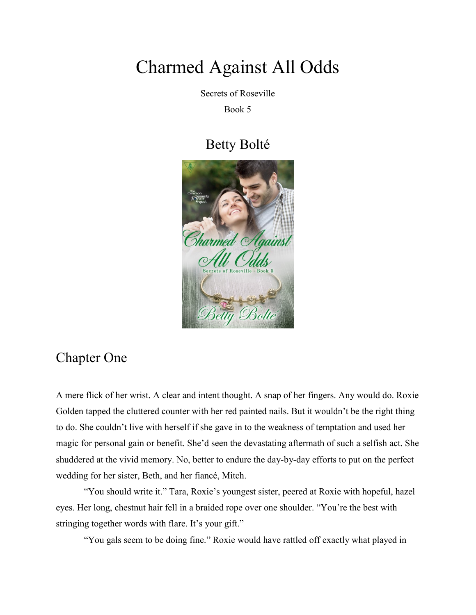## Charmed Against All Odds

Secrets of Roseville

Book 5

## Betty Bolté



## Chapter One

A mere flick of her wrist. A clear and intent thought. A snap of her fingers. Any would do. Roxie Golden tapped the cluttered counter with her red painted nails. But it wouldn't be the right thing to do. She couldn't live with herself if she gave in to the weakness of temptation and used her magic for personal gain or benefit. She'd seen the devastating aftermath of such a selfish act. She shuddered at the vivid memory. No, better to endure the day-by-day efforts to put on the perfect wedding for her sister, Beth, and her fiancé, Mitch.

"You should write it." Tara, Roxie's youngest sister, peered at Roxie with hopeful, hazel eyes. Her long, chestnut hair fell in a braided rope over one shoulder. "You're the best with stringing together words with flare. It's your gift."

"You gals seem to be doing fine." Roxie would have rattled off exactly what played in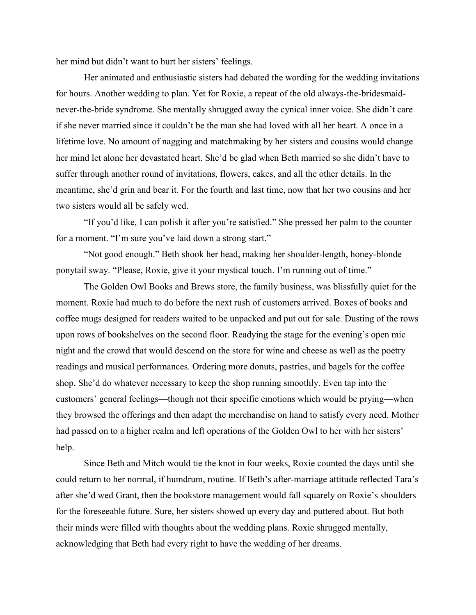her mind but didn't want to hurt her sisters' feelings.

Her animated and enthusiastic sisters had debated the wording for the wedding invitations for hours. Another wedding to plan. Yet for Roxie, a repeat of the old always-the-bridesmaidnever-the-bride syndrome. She mentally shrugged away the cynical inner voice. She didn't care if she never married since it couldn't be the man she had loved with all her heart. A once in a lifetime love. No amount of nagging and matchmaking by her sisters and cousins would change her mind let alone her devastated heart. She'd be glad when Beth married so she didn't have to suffer through another round of invitations, flowers, cakes, and all the other details. In the meantime, she'd grin and bear it. For the fourth and last time, now that her two cousins and her two sisters would all be safely wed.

"If you'd like, I can polish it after you're satisfied." She pressed her palm to the counter for a moment. "I'm sure you've laid down a strong start."

"Not good enough." Beth shook her head, making her shoulder-length, honey-blonde ponytail sway. "Please, Roxie, give it your mystical touch. I'm running out of time."

The Golden Owl Books and Brews store, the family business, was blissfully quiet for the moment. Roxie had much to do before the next rush of customers arrived. Boxes of books and coffee mugs designed for readers waited to be unpacked and put out for sale. Dusting of the rows upon rows of bookshelves on the second floor. Readying the stage for the evening's open mic night and the crowd that would descend on the store for wine and cheese as well as the poetry readings and musical performances. Ordering more donuts, pastries, and bagels for the coffee shop. She'd do whatever necessary to keep the shop running smoothly. Even tap into the customers' general feelings—though not their specific emotions which would be prying—when they browsed the offerings and then adapt the merchandise on hand to satisfy every need. Mother had passed on to a higher realm and left operations of the Golden Owl to her with her sisters' help.

Since Beth and Mitch would tie the knot in four weeks, Roxie counted the days until she could return to her normal, if humdrum, routine. If Beth's after-marriage attitude reflected Tara's after she'd wed Grant, then the bookstore management would fall squarely on Roxie's shoulders for the foreseeable future. Sure, her sisters showed up every day and puttered about. But both their minds were filled with thoughts about the wedding plans. Roxie shrugged mentally, acknowledging that Beth had every right to have the wedding of her dreams.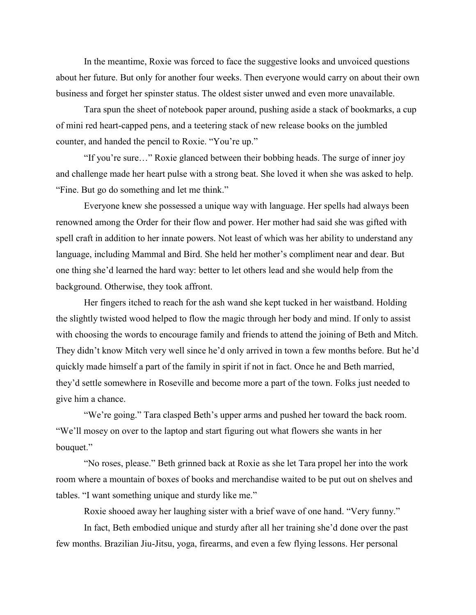In the meantime, Roxie was forced to face the suggestive looks and unvoiced questions about her future. But only for another four weeks. Then everyone would carry on about their own business and forget her spinster status. The oldest sister unwed and even more unavailable.

Tara spun the sheet of notebook paper around, pushing aside a stack of bookmarks, a cup of mini red heart-capped pens, and a teetering stack of new release books on the jumbled counter, and handed the pencil to Roxie. "You're up."

"If you're sure…" Roxie glanced between their bobbing heads. The surge of inner joy and challenge made her heart pulse with a strong beat. She loved it when she was asked to help. "Fine. But go do something and let me think."

Everyone knew she possessed a unique way with language. Her spells had always been renowned among the Order for their flow and power. Her mother had said she was gifted with spell craft in addition to her innate powers. Not least of which was her ability to understand any language, including Mammal and Bird. She held her mother's compliment near and dear. But one thing she'd learned the hard way: better to let others lead and she would help from the background. Otherwise, they took affront.

Her fingers itched to reach for the ash wand she kept tucked in her waistband. Holding the slightly twisted wood helped to flow the magic through her body and mind. If only to assist with choosing the words to encourage family and friends to attend the joining of Beth and Mitch. They didn't know Mitch very well since he'd only arrived in town a few months before. But he'd quickly made himself a part of the family in spirit if not in fact. Once he and Beth married, they'd settle somewhere in Roseville and become more a part of the town. Folks just needed to give him a chance.

"We're going." Tara clasped Beth's upper arms and pushed her toward the back room. "We'll mosey on over to the laptop and start figuring out what flowers she wants in her bouquet."

"No roses, please." Beth grinned back at Roxie as she let Tara propel her into the work room where a mountain of boxes of books and merchandise waited to be put out on shelves and tables. "I want something unique and sturdy like me."

Roxie shooed away her laughing sister with a brief wave of one hand. "Very funny."

In fact, Beth embodied unique and sturdy after all her training she'd done over the past few months. Brazilian Jiu-Jitsu, yoga, firearms, and even a few flying lessons. Her personal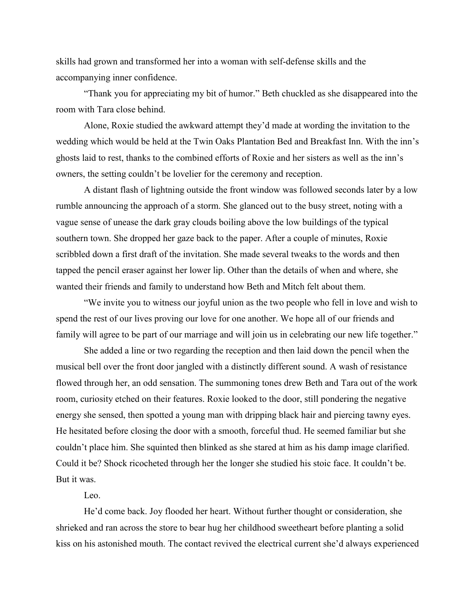skills had grown and transformed her into a woman with self-defense skills and the accompanying inner confidence.

"Thank you for appreciating my bit of humor." Beth chuckled as she disappeared into the room with Tara close behind.

Alone, Roxie studied the awkward attempt they'd made at wording the invitation to the wedding which would be held at the Twin Oaks Plantation Bed and Breakfast Inn. With the inn's ghosts laid to rest, thanks to the combined efforts of Roxie and her sisters as well as the inn's owners, the setting couldn't be lovelier for the ceremony and reception.

A distant flash of lightning outside the front window was followed seconds later by a low rumble announcing the approach of a storm. She glanced out to the busy street, noting with a vague sense of unease the dark gray clouds boiling above the low buildings of the typical southern town. She dropped her gaze back to the paper. After a couple of minutes, Roxie scribbled down a first draft of the invitation. She made several tweaks to the words and then tapped the pencil eraser against her lower lip. Other than the details of when and where, she wanted their friends and family to understand how Beth and Mitch felt about them.

"We invite you to witness our joyful union as the two people who fell in love and wish to spend the rest of our lives proving our love for one another. We hope all of our friends and family will agree to be part of our marriage and will join us in celebrating our new life together."

She added a line or two regarding the reception and then laid down the pencil when the musical bell over the front door jangled with a distinctly different sound. A wash of resistance flowed through her, an odd sensation. The summoning tones drew Beth and Tara out of the work room, curiosity etched on their features. Roxie looked to the door, still pondering the negative energy she sensed, then spotted a young man with dripping black hair and piercing tawny eyes. He hesitated before closing the door with a smooth, forceful thud. He seemed familiar but she couldn't place him. She squinted then blinked as she stared at him as his damp image clarified. Could it be? Shock ricocheted through her the longer she studied his stoic face. It couldn't be. But it was.

## Leo.

He'd come back. Joy flooded her heart. Without further thought or consideration, she shrieked and ran across the store to bear hug her childhood sweetheart before planting a solid kiss on his astonished mouth. The contact revived the electrical current she'd always experienced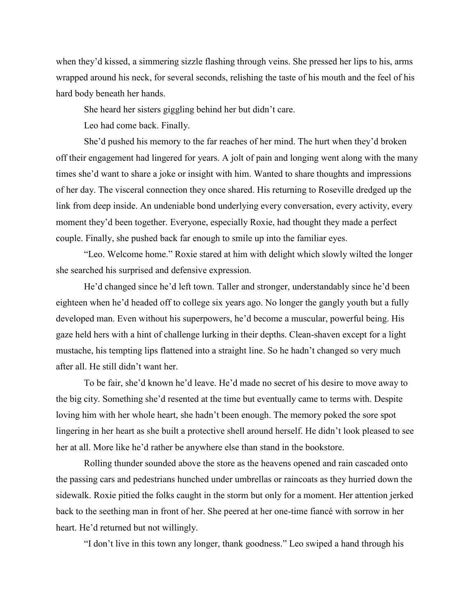when they'd kissed, a simmering sizzle flashing through veins. She pressed her lips to his, arms wrapped around his neck, for several seconds, relishing the taste of his mouth and the feel of his hard body beneath her hands.

She heard her sisters giggling behind her but didn't care.

Leo had come back. Finally.

She'd pushed his memory to the far reaches of her mind. The hurt when they'd broken off their engagement had lingered for years. A jolt of pain and longing went along with the many times she'd want to share a joke or insight with him. Wanted to share thoughts and impressions of her day. The visceral connection they once shared. His returning to Roseville dredged up the link from deep inside. An undeniable bond underlying every conversation, every activity, every moment they'd been together. Everyone, especially Roxie, had thought they made a perfect couple. Finally, she pushed back far enough to smile up into the familiar eyes.

"Leo. Welcome home." Roxie stared at him with delight which slowly wilted the longer she searched his surprised and defensive expression.

He'd changed since he'd left town. Taller and stronger, understandably since he'd been eighteen when he'd headed off to college six years ago. No longer the gangly youth but a fully developed man. Even without his superpowers, he'd become a muscular, powerful being. His gaze held hers with a hint of challenge lurking in their depths. Clean-shaven except for a light mustache, his tempting lips flattened into a straight line. So he hadn't changed so very much after all. He still didn't want her.

To be fair, she'd known he'd leave. He'd made no secret of his desire to move away to the big city. Something she'd resented at the time but eventually came to terms with. Despite loving him with her whole heart, she hadn't been enough. The memory poked the sore spot lingering in her heart as she built a protective shell around herself. He didn't look pleased to see her at all. More like he'd rather be anywhere else than stand in the bookstore.

Rolling thunder sounded above the store as the heavens opened and rain cascaded onto the passing cars and pedestrians hunched under umbrellas or raincoats as they hurried down the sidewalk. Roxie pitied the folks caught in the storm but only for a moment. Her attention jerked back to the seething man in front of her. She peered at her one-time fiancé with sorrow in her heart. He'd returned but not willingly.

"I don't live in this town any longer, thank goodness." Leo swiped a hand through his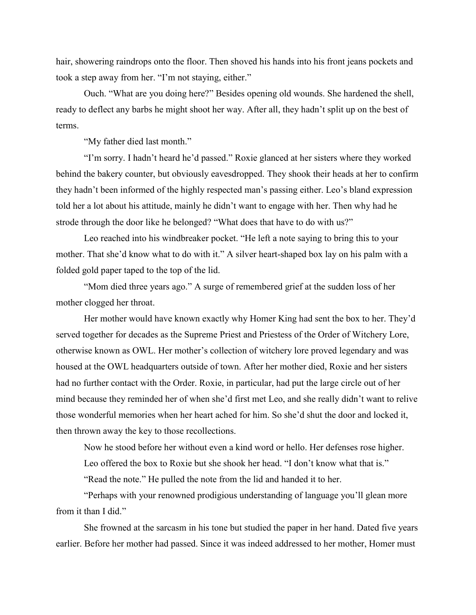hair, showering raindrops onto the floor. Then shoved his hands into his front jeans pockets and took a step away from her. "I'm not staying, either."

Ouch. "What are you doing here?" Besides opening old wounds. She hardened the shell, ready to deflect any barbs he might shoot her way. After all, they hadn't split up on the best of terms.

"My father died last month."

"I'm sorry. I hadn't heard he'd passed." Roxie glanced at her sisters where they worked behind the bakery counter, but obviously eavesdropped. They shook their heads at her to confirm they hadn't been informed of the highly respected man's passing either. Leo's bland expression told her a lot about his attitude, mainly he didn't want to engage with her. Then why had he strode through the door like he belonged? "What does that have to do with us?"

Leo reached into his windbreaker pocket. "He left a note saying to bring this to your mother. That she'd know what to do with it." A silver heart-shaped box lay on his palm with a folded gold paper taped to the top of the lid.

"Mom died three years ago." A surge of remembered grief at the sudden loss of her mother clogged her throat.

Her mother would have known exactly why Homer King had sent the box to her. They'd served together for decades as the Supreme Priest and Priestess of the Order of Witchery Lore, otherwise known as OWL. Her mother's collection of witchery lore proved legendary and was housed at the OWL headquarters outside of town. After her mother died, Roxie and her sisters had no further contact with the Order. Roxie, in particular, had put the large circle out of her mind because they reminded her of when she'd first met Leo, and she really didn't want to relive those wonderful memories when her heart ached for him. So she'd shut the door and locked it, then thrown away the key to those recollections.

Now he stood before her without even a kind word or hello. Her defenses rose higher.

Leo offered the box to Roxie but she shook her head. "I don't know what that is."

"Read the note." He pulled the note from the lid and handed it to her.

"Perhaps with your renowned prodigious understanding of language you'll glean more from it than I did."

She frowned at the sarcasm in his tone but studied the paper in her hand. Dated five years earlier. Before her mother had passed. Since it was indeed addressed to her mother, Homer must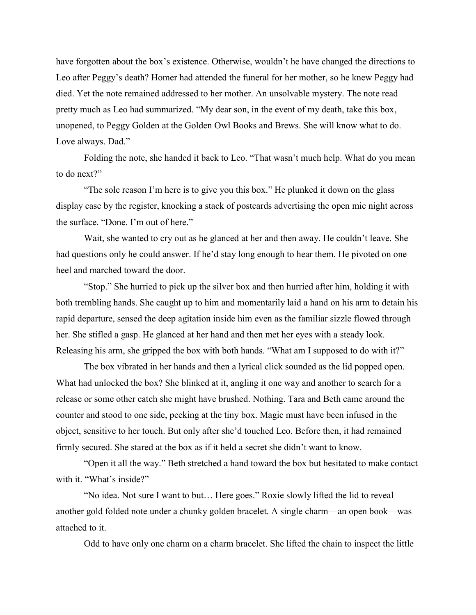have forgotten about the box's existence. Otherwise, wouldn't he have changed the directions to Leo after Peggy's death? Homer had attended the funeral for her mother, so he knew Peggy had died. Yet the note remained addressed to her mother. An unsolvable mystery. The note read pretty much as Leo had summarized. "My dear son, in the event of my death, take this box, unopened, to Peggy Golden at the Golden Owl Books and Brews. She will know what to do. Love always. Dad."

Folding the note, she handed it back to Leo. "That wasn't much help. What do you mean to do next?"

"The sole reason I'm here is to give you this box." He plunked it down on the glass display case by the register, knocking a stack of postcards advertising the open mic night across the surface. "Done. I'm out of here."

Wait, she wanted to cry out as he glanced at her and then away. He couldn't leave. She had questions only he could answer. If he'd stay long enough to hear them. He pivoted on one heel and marched toward the door.

"Stop." She hurried to pick up the silver box and then hurried after him, holding it with both trembling hands. She caught up to him and momentarily laid a hand on his arm to detain his rapid departure, sensed the deep agitation inside him even as the familiar sizzle flowed through her. She stifled a gasp. He glanced at her hand and then met her eyes with a steady look. Releasing his arm, she gripped the box with both hands. "What am I supposed to do with it?"

The box vibrated in her hands and then a lyrical click sounded as the lid popped open. What had unlocked the box? She blinked at it, angling it one way and another to search for a release or some other catch she might have brushed. Nothing. Tara and Beth came around the counter and stood to one side, peeking at the tiny box. Magic must have been infused in the object, sensitive to her touch. But only after she'd touched Leo. Before then, it had remained firmly secured. She stared at the box as if it held a secret she didn't want to know.

"Open it all the way." Beth stretched a hand toward the box but hesitated to make contact with it. "What's inside?"

"No idea. Not sure I want to but… Here goes." Roxie slowly lifted the lid to reveal another gold folded note under a chunky golden bracelet. A single charm—an open book—was attached to it.

Odd to have only one charm on a charm bracelet. She lifted the chain to inspect the little